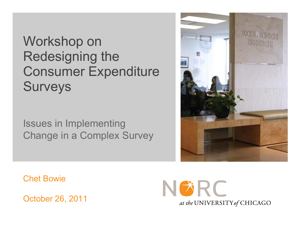### Workshop on Redesigning the Consumer Expenditure Surveys

Issues in Implementing Change in a Complex Survey



Chet Bowie

October 26, 2011

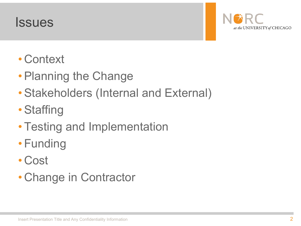#### **Issues**



- Context
- •Planning the Change
- •Stakeholders (Internal and External)
- •Staffing
- Testing and Implementation
- Funding
- Cost
- Change in Contractor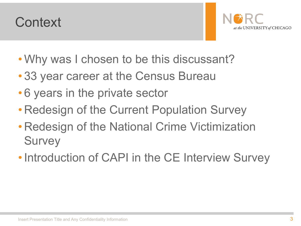## **Context**



- Why was I chosen to be this discussant?
- 33 year career at the Census Bureau
- 6 years in the private sector
- Redesign of the Current Population Survey
- Redesign of the National Crime Victimization **Survey**
- Introduction of CAPI in the CE Interview Survey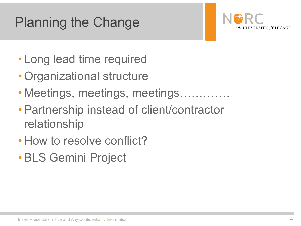## Planning the Change



- Long lead time required
- Organizational structure
- Meetings, meetings, meetings………….
- •Partnership instead of client/contractor relationship
- How to resolve conflict?
- •BLS Gemini Project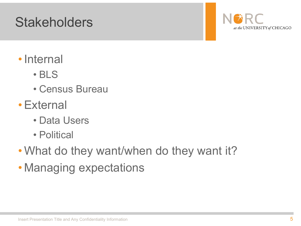## **Stakeholders**



#### •Internal

- BLS
- Census Bureau
- •External
	- Data Users
	- Political
- What do they want/when do they want it?
- Managing expectations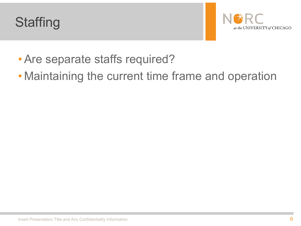



- •Are separate staffs required?
- Maintaining the current time frame and operation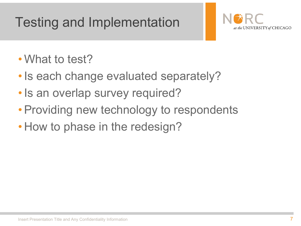# Testing and Implementation



- What to test?
- •Is each change evaluated separately?
- Is an overlap survey required?
- •Providing new technology to respondents
- How to phase in the redesign?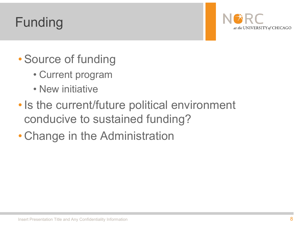# Funding



- •Source of funding
	- Current program
	- New initiative
- Is the current/future political environment conducive to sustained funding?
- Change in the Administration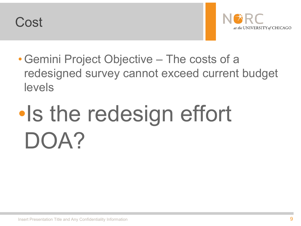



• Gemini Project Objective – The costs of a redesigned survey cannot exceed current budget levels

# •Is the redesign effort DOA?